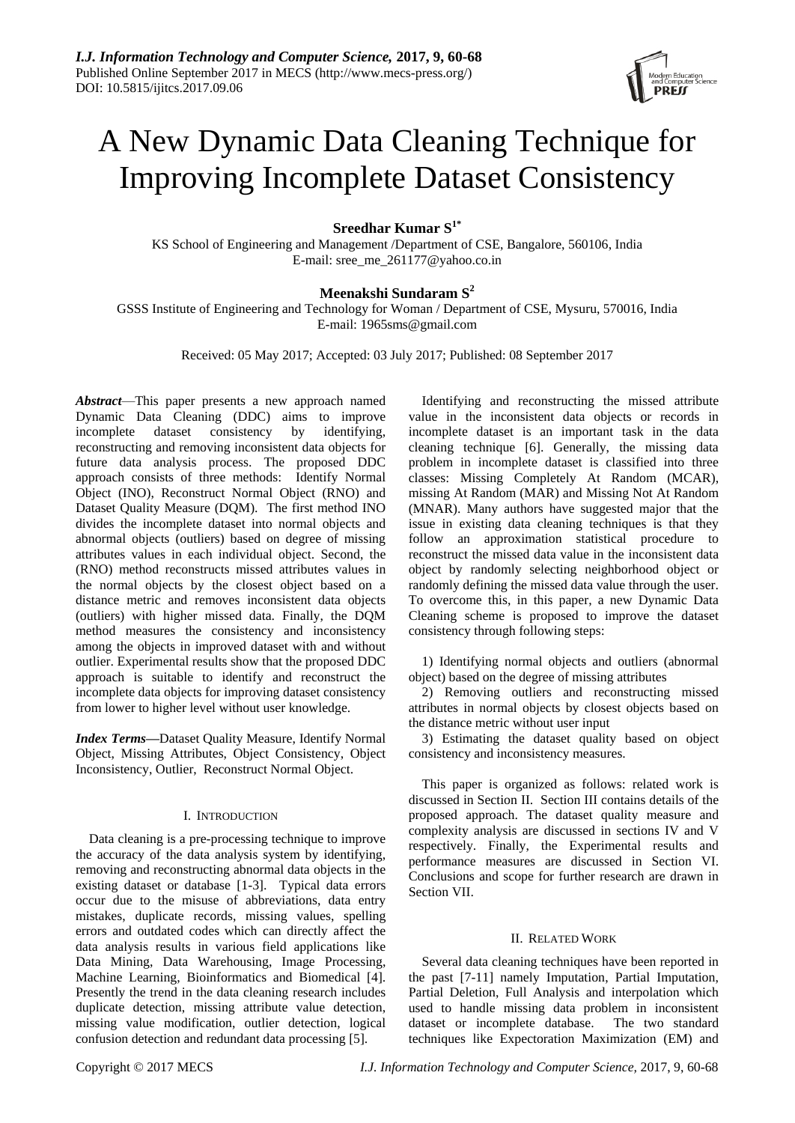# A New Dynamic Data Cleaning Technique for Improving Incomplete Dataset Consistency

**Sreedhar Kumar S1\***

KS School of Engineering and Management /Department of CSE, Bangalore, 560106, India E-mail: sree\_me\_261177@yahoo.co.in

# **Meenakshi Sundaram S<sup>2</sup>**

GSSS Institute of Engineering and Technology for Woman / Department of CSE, Mysuru, 570016, India E-mail: 1965sms@gmail.com

Received: 05 May 2017; Accepted: 03 July 2017; Published: 08 September 2017

*Abstract*—This paper presents a new approach named Dynamic Data Cleaning (DDC) aims to improve incomplete dataset consistency by identifying, reconstructing and removing inconsistent data objects for future data analysis process. The proposed DDC approach consists of three methods: Identify Normal Object (INO), Reconstruct Normal Object (RNO) and Dataset Quality Measure (DQM). The first method INO divides the incomplete dataset into normal objects and abnormal objects (outliers) based on degree of missing attributes values in each individual object. Second, the (RNO) method reconstructs missed attributes values in the normal objects by the closest object based on a distance metric and removes inconsistent data objects (outliers) with higher missed data. Finally, the DQM method measures the consistency and inconsistency among the objects in improved dataset with and without outlier. Experimental results show that the proposed DDC approach is suitable to identify and reconstruct the incomplete data objects for improving dataset consistency from lower to higher level without user knowledge.

*Index Terms***—**Dataset Quality Measure, Identify Normal Object, Missing Attributes, Object Consistency, Object Inconsistency, Outlier, Reconstruct Normal Object.

# I. INTRODUCTION

Data cleaning is a pre-processing technique to improve the accuracy of the data analysis system by identifying, removing and reconstructing abnormal data objects in the existing dataset or database [1-3]. Typical data errors occur due to the misuse of abbreviations, data entry mistakes, duplicate records, missing values, spelling errors and outdated codes which can directly affect the data analysis results in various field applications like Data Mining, Data Warehousing, Image Processing, Machine Learning, Bioinformatics and Biomedical [4]. Presently the trend in the data cleaning research includes duplicate detection, missing attribute value detection, missing value modification, outlier detection, logical confusion detection and redundant data processing [5].

Identifying and reconstructing the missed attribute value in the inconsistent data objects or records in incomplete dataset is an important task in the data cleaning technique [6]. Generally, the missing data problem in incomplete dataset is classified into three classes: Missing Completely At Random (MCAR), missing At Random (MAR) and Missing Not At Random (MNAR). Many authors have suggested major that the issue in existing data cleaning techniques is that they follow an approximation statistical procedure to reconstruct the missed data value in the inconsistent data object by randomly selecting neighborhood object or randomly defining the missed data value through the user. To overcome this, in this paper, a new Dynamic Data Cleaning scheme is proposed to improve the dataset consistency through following steps:

1) Identifying normal objects and outliers (abnormal object) based on the degree of missing attributes

2) Removing outliers and reconstructing missed attributes in normal objects by closest objects based on the distance metric without user input

3) Estimating the dataset quality based on object consistency and inconsistency measures.

This paper is organized as follows: related work is discussed in Section II. Section III contains details of the proposed approach. The dataset quality measure and complexity analysis are discussed in sections IV and V respectively. Finally, the Experimental results and performance measures are discussed in Section VI. Conclusions and scope for further research are drawn in Section VII.

# II. RELATED WORK

Several data cleaning techniques have been reported in the past [7-11] namely Imputation, Partial Imputation, Partial Deletion, Full Analysis and interpolation which used to handle missing data problem in inconsistent dataset or incomplete database. The two standard techniques like Expectoration Maximization (EM) and

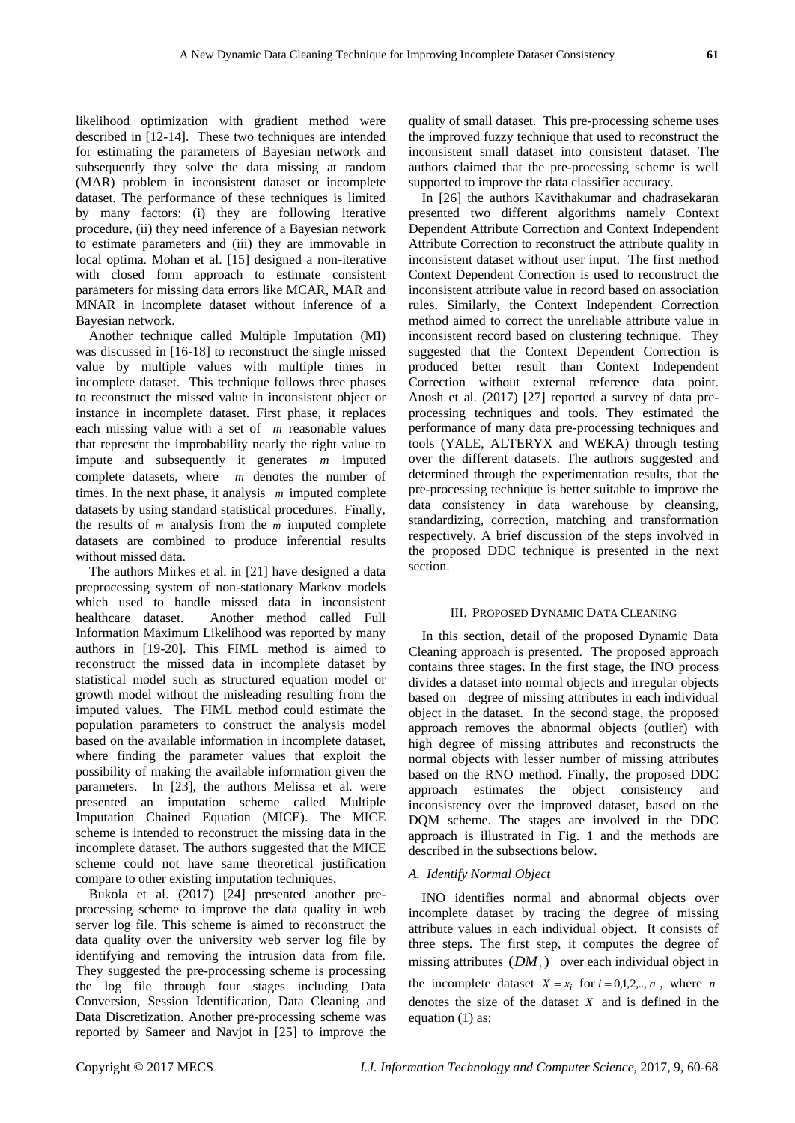likelihood optimization with gradient method were described in [12-14]. These two techniques are intended for estimating the parameters of Bayesian network and subsequently they solve the data missing at random (MAR) problem in inconsistent dataset or incomplete dataset. The performance of these techniques is limited by many factors: (i) they are following iterative procedure, (ii) they need inference of a Bayesian network to estimate parameters and (iii) they are immovable in local optima. Mohan et al. [15] designed a non-iterative with closed form approach to estimate consistent parameters for missing data errors like MCAR, MAR and MNAR in incomplete dataset without inference of a Bayesian network.

Another technique called Multiple Imputation (MI) was discussed in [16-18] to reconstruct the single missed value by multiple values with multiple times in incomplete dataset. This technique follows three phases to reconstruct the missed value in inconsistent object or instance in incomplete dataset. First phase, it replaces each missing value with a set of *m* reasonable values that represent the improbability nearly the right value to impute and subsequently it generates *m* imputed complete datasets, where *m* denotes the number of times. In the next phase, it analysis *m* imputed complete datasets by using standard statistical procedures. Finally, the results of  *analysis from the*  $*m*$  *imputed complete* datasets are combined to produce inferential results without missed data.

The authors Mirkes et al. in [21] have designed a data preprocessing system of non-stationary Markov models which used to handle missed data in inconsistent healthcare dataset. Another method called Full Information Maximum Likelihood was reported by many authors in [19-20]. This FIML method is aimed to reconstruct the missed data in incomplete dataset by statistical model such as structured equation model or growth model without the misleading resulting from the imputed values. The FIML method could estimate the population parameters to construct the analysis model based on the available information in incomplete dataset, where finding the parameter values that exploit the possibility of making the available information given the parameters. In [23], the authors Melissa et al. were presented an imputation scheme called Multiple Imputation Chained Equation (MICE). The MICE scheme is intended to reconstruct the missing data in the incomplete dataset. The authors suggested that the MICE scheme could not have same theoretical justification compare to other existing imputation techniques.

Bukola et al. (2017) [24] presented another preprocessing scheme to improve the data quality in web server log file. This scheme is aimed to reconstruct the data quality over the university web server log file by identifying and removing the intrusion data from file. They suggested the pre-processing scheme is processing the log file through four stages including Data Conversion, Session Identification, Data Cleaning and Data Discretization. Another pre-processing scheme was reported by Sameer and Navjot in [25] to improve the

quality of small dataset. This pre-processing scheme uses the improved fuzzy technique that used to reconstruct the inconsistent small dataset into consistent dataset. The authors claimed that the pre-processing scheme is well supported to improve the data classifier accuracy.

In [26] the authors Kavithakumar and chadrasekaran presented two different algorithms namely Context Dependent Attribute Correction and Context Independent Attribute Correction to reconstruct the attribute quality in inconsistent dataset without user input. The first method Context Dependent Correction is used to reconstruct the inconsistent attribute value in record based on association rules. Similarly, the Context Independent Correction method aimed to correct the unreliable attribute value in inconsistent record based on clustering technique. They suggested that the Context Dependent Correction is produced better result than Context Independent Correction without external reference data point. Anosh et al. (2017) [27] reported a survey of data preprocessing techniques and tools. They estimated the performance of many data pre-processing techniques and tools (YALE, ALTERYX and WEKA) through testing over the different datasets. The authors suggested and determined through the experimentation results, that the pre-processing technique is better suitable to improve the data consistency in data warehouse by cleansing, standardizing, correction, matching and transformation respectively. A brief discussion of the steps involved in the proposed DDC technique is presented in the next section.

#### III. PROPOSED DYNAMIC DATA CLEANING

In this section, detail of the proposed Dynamic Data Cleaning approach is presented. The proposed approach contains three stages. In the first stage, the INO process divides a dataset into normal objects and irregular objects based on degree of missing attributes in each individual object in the dataset. In the second stage, the proposed approach removes the abnormal objects (outlier) with high degree of missing attributes and reconstructs the normal objects with lesser number of missing attributes based on the RNO method. Finally, the proposed DDC approach estimates the object consistency and inconsistency over the improved dataset, based on the DQM scheme. The stages are involved in the DDC approach is illustrated in Fig. 1 and the methods are described in the subsections below.

# *A. Identify Normal Object*

INO identifies normal and abnormal objects over incomplete dataset by tracing the degree of missing attribute values in each individual object. It consists of three steps. The first step, it computes the degree of missing attributes  $(DM_i)$  over each individual object in the incomplete dataset  $X = x_i$  for  $i = 0,1,2,..., n$ , where *n* denotes the size of the dataset *X* and is defined in the equation (1) as: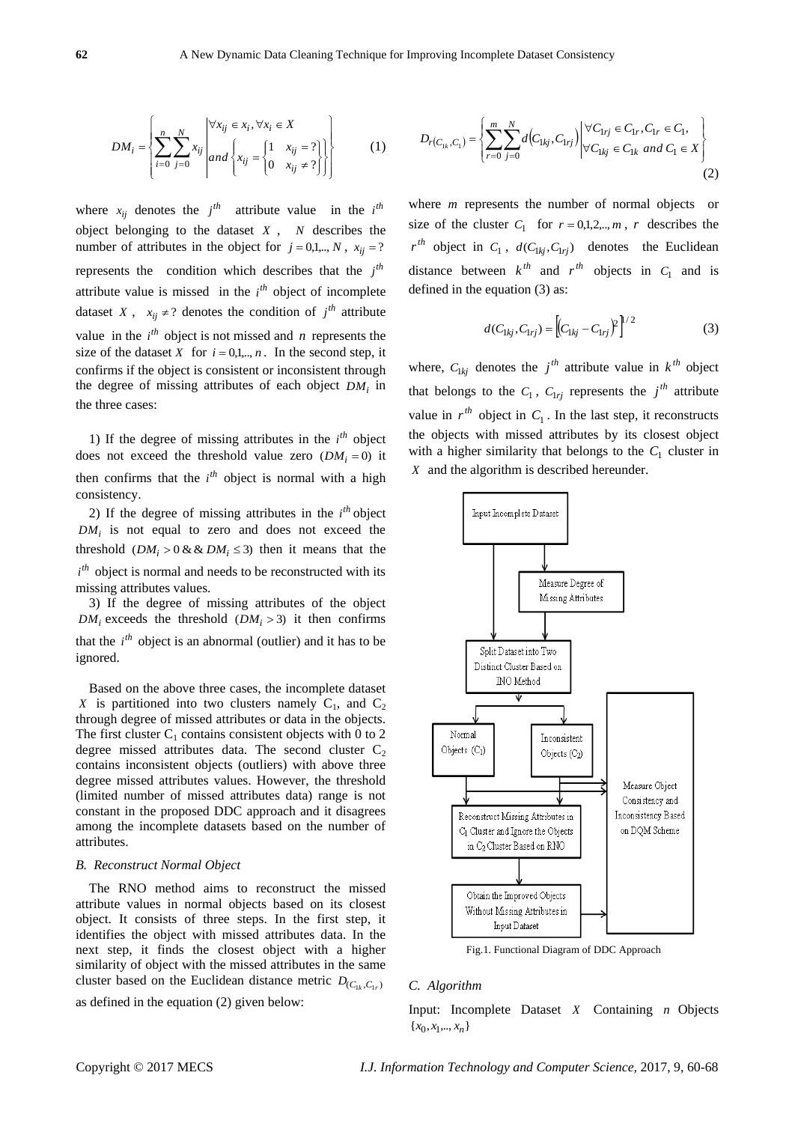$$
DM_{i} = \left\{ \sum_{i=0}^{n} \sum_{j=0}^{N} x_{ij} \middle| \text{ and } \left\{ x_{ij} = \begin{cases} 1 & x_{ij} = ? \\ 0 & x_{ij} \neq ? \end{cases} \right\} \right\}
$$
 (1)

where  $x_{ij}$  denotes the  $j^{th}$  attribute value in the  $i^{th}$ object belonging to the dataset *X* , *N* describes the number of attributes in the object for  $j = 0,1,.., N$ ,  $x_{ij} = ?$ represents the condition which describes that the  $j<sup>th</sup>$ attribute value is missed in the  $i^{th}$  object of incomplete dataset *X*,  $x_{ij} \neq ?$  denotes the condition of  $j^{th}$  attribute value in the  $i^{th}$  object is not missed and *n* represents the size of the dataset *X* for  $i = 0,1,..., n$ . In the second step, it confirms if the object is consistent or inconsistent through the degree of missing attributes of each object *DM<sup>i</sup>* in the three cases:

1) If the degree of missing attributes in the  $i<sup>th</sup>$  object does not exceed the threshold value zero  $(DM_i = 0)$  it then confirms that the  $i^{th}$  object is normal with a high consistency.

2) If the degree of missing attributes in the  $i<sup>th</sup>$  object  $DM_i$  is not equal to zero and does not exceed the threshold  $(DM_i > 0 \& \& DM_i \leq 3)$  then it means that the *i*<sup>th</sup> object is normal and needs to be reconstructed with its missing attributes values.

3) If the degree of missing attributes of the object  $DM_i$  exceeds the threshold  $(DM_i > 3)$  it then confirms that the  $i^{th}$  object is an abnormal (outlier) and it has to be ignored.

Based on the above three cases, the incomplete dataset *X* is partitioned into two clusters namely  $C_1$ , and  $C_2$ through degree of missed attributes or data in the objects. The first cluster  $C_1$  contains consistent objects with 0 to 2 degree missed attributes data. The second cluster  $C_2$ contains inconsistent objects (outliers) with above three degree missed attributes values. However, the threshold (limited number of missed attributes data) range is not constant in the proposed DDC approach and it disagrees among the incomplete datasets based on the number of attributes.

#### *B. Reconstruct Normal Object*

The RNO method aims to reconstruct the missed attribute values in normal objects based on its closest object. It consists of three steps. In the first step, it identifies the object with missed attributes data. In the next step, it finds the closest object with a higher similarity of object with the missed attributes in the same cluster based on the Euclidean distance metric  $D_{(C_{1k}, C_{1r})}$ 

as defined in the equation (2) given below:

$$
D_{r(C_{1k},C_{1})} = \left\{ \sum_{r=0}^{m} \sum_{j=0}^{N} d(C_{1kj}, C_{1rj}) \middle| \begin{aligned} \forall C_{1rj} \in C_{1r}, C_{1r} \in C_{1}, \\ \forall C_{1kj} \in C_{1k} \text{ and } C_{1} \in X \end{aligned} \right\}
$$
(2)

where *m* represents the number of normal objects or size of the cluster  $C_1$  for  $r = 0,1,2,...,m$ , *r* describes the  $r^{th}$  object in  $C_1$ ,  $d(C_{1kj}, C_{1rij})$  denotes the Euclidean distance between  $k^{th}$  and  $r^{th}$  objects in  $C_1$  and is defined in the equation (3) as:

$$
d(C_{1kj}, C_{1rj}) = \left[ (C_{1kj} - C_{1rj})^2 \right]^{1/2}
$$
 (3)

where,  $C_{1kj}$  denotes the  $j<sup>th</sup>$  attribute value in  $k<sup>th</sup>$  object that belongs to the  $C_1$ ,  $C_{1rj}$  represents the  $j<sup>th</sup>$  attribute value in  $r^{th}$  object in  $C_1$ . In the last step, it reconstructs the objects with missed attributes by its closest object with a higher similarity that belongs to the  $C_1$  cluster in *X* and the algorithm is described hereunder.



Fig.1. Functional Diagram of DDC Approach

#### *C. Algorithm*

Input: Incomplete Dataset *X* Containing *n* Objects  ${x_0, x_1, \ldots, x_n}$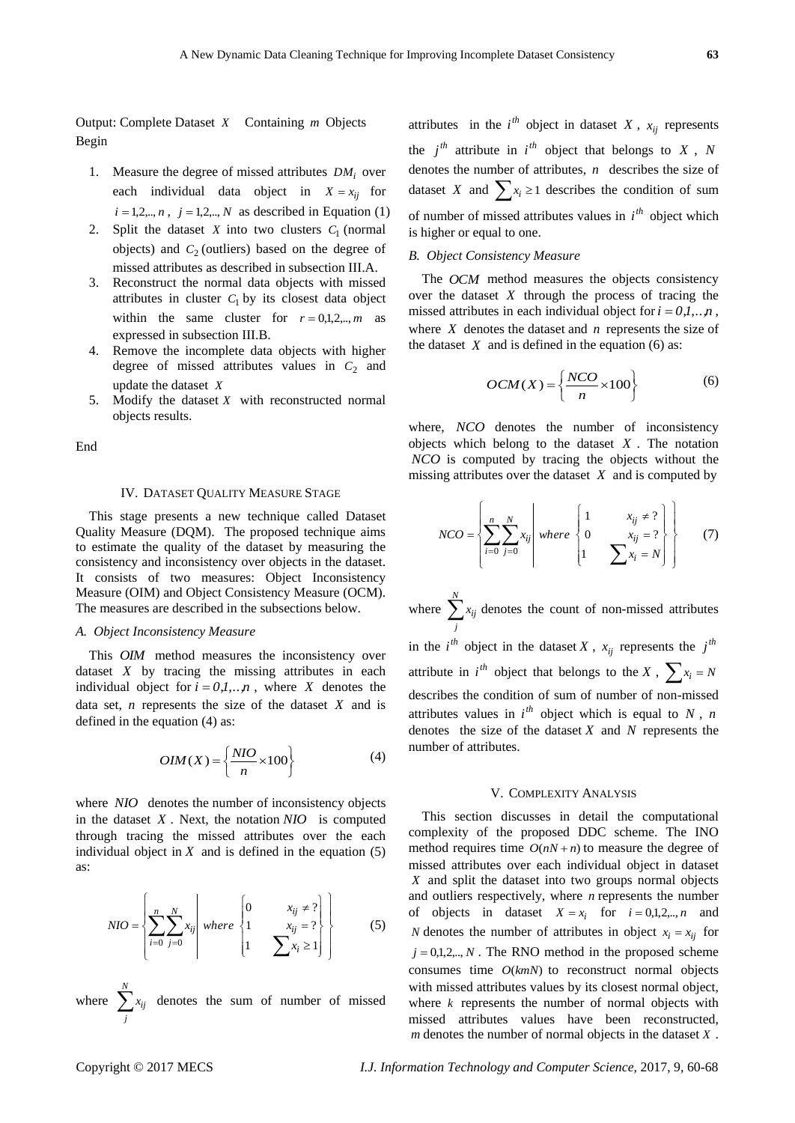Output: Complete Dataset *X* Containing *m* Objects Begin

- 1. Measure the degree of missed attributes  $DM_i$  over each individual data object in  $X = x_{ij}$  for  $i = 1, 2, ..., n$ ,  $j = 1, 2, ..., N$  as described in Equation (1)
- 2. Split the dataset  $X$  into two clusters  $C_1$  (normal objects) and  $C_2$  (outliers) based on the degree of missed attributes as described in subsection III.A.
- 3. Reconstruct the normal data objects with missed attributes in cluster  $C_1$  by its closest data object within the same cluster for  $r = 0,1,2,...,m$  as expressed in subsection III.B.
- 4. Remove the incomplete data objects with higher degree of missed attributes values in  $C_2$  and update the dataset *X*
- 5. Modify the dataset *X* with reconstructed normal objects results.

End

#### IV. DATASET QUALITY MEASURE STAGE

This stage presents a new technique called Dataset Quality Measure (DQM). The proposed technique aims to estimate the quality of the dataset by measuring the consistency and inconsistency over objects in the dataset. It consists of two measures: Object Inconsistency Measure (OIM) and Object Consistency Measure (OCM). The measures are described in the subsections below.

#### *A. Object Inconsistency Measure*

This *OIM* method measures the inconsistency over dataset *X* by tracing the missing attributes in each individual object for  $i = 0,1,...,n$ , where X denotes the data set,  $n$  represents the size of the dataset  $X$  and is defined in the equation (4) as:

$$
OIM(X) = \left\{ \frac{NIO}{n} \times 100 \right\}
$$
 (4)

where *NIO* denotes the number of inconsistency objects in the dataset *X* . Next, the notation *NIO* is computed through tracing the missed attributes over the each individual object in  $X$  and is defined in the equation  $(5)$ as:

$$
NIO = \left\{ \sum_{i=0}^{n} \sum_{j=0}^{N} x_{ij} \middle| \text{ where } \begin{cases} 0 & x_{ij} \neq ? \\ 1 & x_{ij} = ? \\ 1 & \sum x_{i} \ge 1 \end{cases} \right\}
$$
(5)

where  $\sum_{n=1}^{N}$ *j*  $x_{ij}$  denotes the sum of number of missed

attributes in the  $i^{th}$  object in dataset  $X$ ,  $x_{ij}$  represents the  $j<sup>th</sup>$  attribute in  $i<sup>th</sup>$  object that belongs to  $X$ ,  $N$ denotes the number of attributes, *n* describes the size of dataset *X* and  $\sum x_i \ge 1$  describes the condition of sum of number of missed attributes values in  $i<sup>th</sup>$  object which is higher or equal to one.

# *B. Object Consistency Measure*

The *OCM* method measures the objects consistency over the dataset *X* through the process of tracing the missed attributes in each individual object for  $i = 0,1,..,n$ , where  $X$  denotes the dataset and  $n$  represents the size of the dataset  $X$  and is defined in the equation (6) as:

$$
OCM(X) = \left\{ \frac{NCO}{n} \times 100 \right\}
$$
 (6)

where, *NCO* denotes the number of inconsistency objects which belong to the dataset *X* . The notation *NCO* is computed by tracing the objects without the missing attributes over the dataset *X* and is computed by

$$
NCO = \left\{ \sum_{i=0}^{n} \sum_{j=0}^{N} x_{ij} \middle| \text{ where } \begin{cases} 1 & x_{ij} \neq ? \\ 0 & x_{ij} = ? \\ 1 & \sum x_{i} = N \end{cases} \right\}
$$
(7)

where  $\sum_{n=1}^{N}$ *j*  $x_{ij}$  denotes the count of non-missed attributes in the  $i^{th}$  object in the dataset X,  $x_{ij}$  represents the  $j^{th}$ attribute in  $i^{th}$  object that belongs to the  $X$ ,  $\sum x_i = N$ describes the condition of sum of number of non-missed attributes values in  $i<sup>th</sup>$  object which is equal to N, n denotes the size of the dataset  $X$  and  $N$  represents the number of attributes.

#### V. COMPLEXITY ANALYSIS

This section discusses in detail the computational complexity of the proposed DDC scheme. The INO method requires time  $O(nN + n)$  to measure the degree of missed attributes over each individual object in dataset *X* and split the dataset into two groups normal objects and outliers respectively, where *n* represents the number of objects in dataset  $X = x_i$  for  $i = 0,1,2,...,n$  and *N* denotes the number of attributes in object  $x_i = x_{ij}$  for  $j = 0,1,2,..., N$ . The RNO method in the proposed scheme consumes time  $O(km)$  to reconstruct normal objects with missed attributes values by its closest normal object, where  $k$  represents the number of normal objects with missed attributes values have been reconstructed, *m* denotes the number of normal objects in the dataset *X* .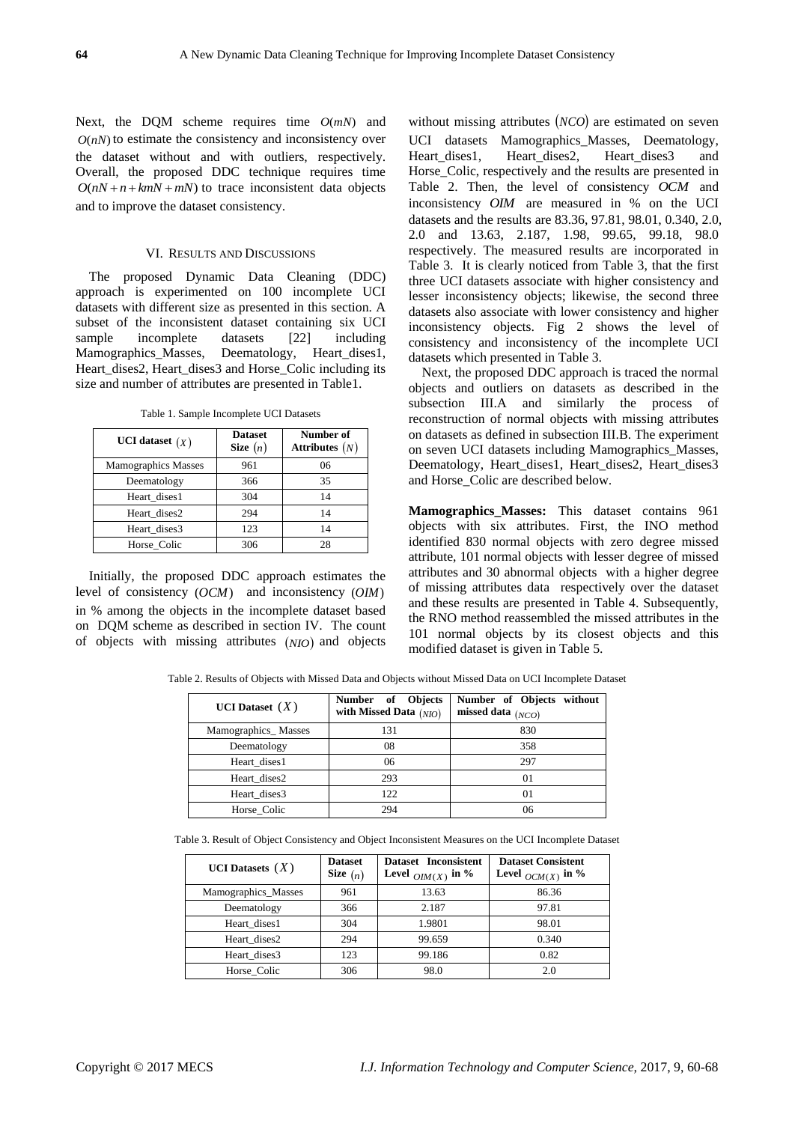Next, the DQM scheme requires time  $O(mN)$  and  $O(nN)$  to estimate the consistency and inconsistency over the dataset without and with outliers, respectively. Overall, the proposed DDC technique requires time  $O(nN + n + kmN + mN)$  to trace inconsistent data objects and to improve the dataset consistency.

#### VI. RESULTS AND DISCUSSIONS

The proposed Dynamic Data Cleaning (DDC) approach is experimented on 100 incomplete UCI datasets with different size as presented in this section. A subset of the inconsistent dataset containing six UCI sample incomplete datasets [22] including Mamographics\_Masses, Deematology, Heart\_dises1, Heart\_dises2, Heart\_dises3 and Horse\_Colic including its size and number of attributes are presented in Table1.

Table 1. Sample Incomplete UCI Datasets

| <b>UCI</b> dataset $(X)$   | <b>Dataset</b><br>Size $(n)$ | Number of<br>Attributes $(N)$ |
|----------------------------|------------------------------|-------------------------------|
| <b>Mamographics Masses</b> | 961                          | 06                            |
| Deematology                | 366                          | 35                            |
| Heart dises1               | 304                          | 14                            |
| Heart dises2               | 294                          | 14                            |
| Heart dises3               | 123                          | 14                            |
| Horse Colic                | 306                          | 28                            |

Initially, the proposed DDC approach estimates the level of consistency (*OCM*) and inconsistency (*OIM*) in % among the objects in the incomplete dataset based on DQM scheme as described in section IV. The count of objects with missing attributes *NIO* and objects

without missing attributes (*NCO*) are estimated on seven UCI datasets Mamographics Masses, Deematology, Heart dises1, Heart dises2, Heart dises3 and Horse Colic, respectively and the results are presented in Table 2. Then, the level of consistency *OCM* and inconsistency *OIM* are measured in % on the UCI datasets and the results are 83.36, 97.81, 98.01, 0.340, 2.0, 2.0 and 13.63, 2.187, 1.98, 99.65, 99.18, 98.0 respectively. The measured results are incorporated in Table 3. It is clearly noticed from Table 3, that the first three UCI datasets associate with higher consistency and lesser inconsistency objects; likewise, the second three datasets also associate with lower consistency and higher inconsistency objects. Fig 2 shows the level of consistency and inconsistency of the incomplete UCI datasets which presented in Table 3.

Next, the proposed DDC approach is traced the normal objects and outliers on datasets as described in the subsection III.A and similarly the process of reconstruction of normal objects with missing attributes on datasets as defined in subsection III.B. The experiment on seven UCI datasets including Mamographics\_Masses, Deematology, Heart\_dises1, Heart\_dises2, Heart\_dises3 and Horse\_Colic are described below.

**Mamographics\_Masses:** This dataset contains 961 objects with six attributes. First, the INO method identified 830 normal objects with zero degree missed attribute, 101 normal objects with lesser degree of missed attributes and 30 abnormal objects with a higher degree of missing attributes data respectively over the dataset and these results are presented in Table 4. Subsequently, the RNO method reassembled the missed attributes in the 101 normal objects by its closest objects and this modified dataset is given in Table 5.

Table 2. Results of Objects with Missed Data and Objects without Missed Data on UCI Incomplete Dataset

| <b>UCI</b> Dataset $(X)$ | Number of Objects<br>with Missed Data $(NIO)$ | Number of Objects without<br>missed data $(NCO)$ |  |
|--------------------------|-----------------------------------------------|--------------------------------------------------|--|
| Mamographics_Masses      | 131                                           | 830                                              |  |
| Deematology              | 08                                            | 358                                              |  |
| Heart dises1             | 06                                            | 297                                              |  |
| Heart dises2             | 293                                           | $_{01}$                                          |  |
| Heart dises3             | 122                                           | $_{01}$                                          |  |
| Horse Colic              | 294                                           | 06                                               |  |

Table 3. Result of Object Consistency and Object Inconsistent Measures on the UCI Incomplete Dataset

| <b>UCI</b> Datasets $(X)$ | <b>Dataset</b><br>Size $(n)$ | Dataset Inconsistent<br>Level $_{OIM(X)}$ in % | <b>Dataset Consistent</b><br>Level $_{OCM(X)}$ in % |
|---------------------------|------------------------------|------------------------------------------------|-----------------------------------------------------|
| Mamographics_Masses       | 961                          | 13.63                                          | 86.36                                               |
| Deematology               | 366                          | 2.187                                          | 97.81                                               |
| Heart dises1              | 304                          | 1.9801                                         | 98.01                                               |
| Heart dises2              | 294                          | 99.659                                         | 0.340                                               |
| Heart dises3              | 123                          | 99.186                                         | 0.82                                                |
| Horse Colic               | 306                          | 98.0                                           | 2.0                                                 |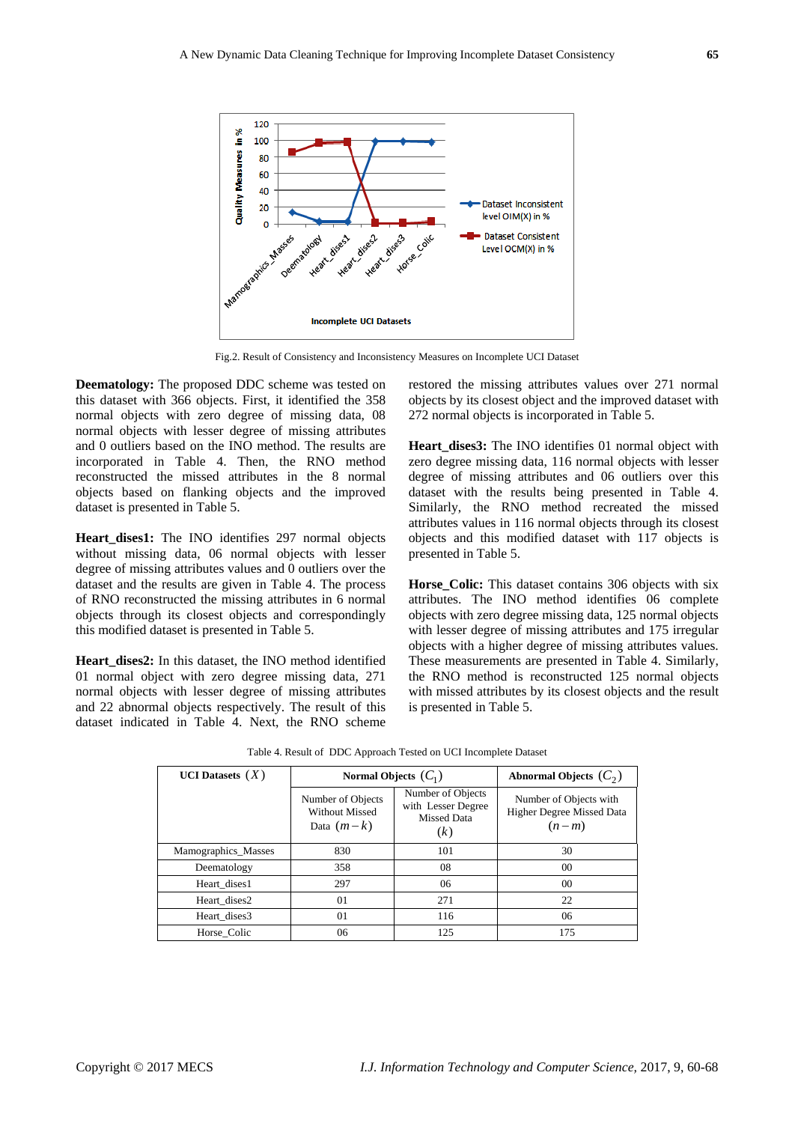

Fig.2. Result of Consistency and Inconsistency Measures on Incomplete UCI Dataset

**Deematology:** The proposed DDC scheme was tested on this dataset with 366 objects. First, it identified the 358 normal objects with zero degree of missing data, 08 normal objects with lesser degree of missing attributes and 0 outliers based on the INO method. The results are incorporated in Table 4. Then, the RNO method reconstructed the missed attributes in the 8 normal objects based on flanking objects and the improved dataset is presented in Table 5.

Heart dises1: The INO identifies 297 normal objects without missing data, 06 normal objects with lesser degree of missing attributes values and 0 outliers over the dataset and the results are given in Table 4. The process of RNO reconstructed the missing attributes in 6 normal objects through its closest objects and correspondingly this modified dataset is presented in Table 5.

**Heart\_dises2:** In this dataset, the INO method identified 01 normal object with zero degree missing data, 271 normal objects with lesser degree of missing attributes and 22 abnormal objects respectively. The result of this dataset indicated in Table 4. Next, the RNO scheme

restored the missing attributes values over 271 normal objects by its closest object and the improved dataset with 272 normal objects is incorporated in Table 5.

Heart dises3: The INO identifies 01 normal object with zero degree missing data, 116 normal objects with lesser degree of missing attributes and 06 outliers over this dataset with the results being presented in Table 4. Similarly, the RNO method recreated the missed attributes values in 116 normal objects through its closest objects and this modified dataset with 117 objects is presented in Table 5.

**Horse** Colic: This dataset contains 306 objects with six attributes. The INO method identifies 06 complete objects with zero degree missing data, 125 normal objects with lesser degree of missing attributes and 175 irregular objects with a higher degree of missing attributes values. These measurements are presented in Table 4. Similarly, the RNO method is reconstructed 125 normal objects with missed attributes by its closest objects and the result is presented in Table 5.

| <b>UCI</b> Datasets $(X)$ | Normal Objects $(C_1)$                                     | Abnormal Objects $(C_2)$                                             |                                                                |
|---------------------------|------------------------------------------------------------|----------------------------------------------------------------------|----------------------------------------------------------------|
|                           | Number of Objects<br><b>Without Missed</b><br>Data $(m-k)$ | Number of Objects<br>with Lesser Degree<br><b>Missed Data</b><br>(k) | Number of Objects with<br>Higher Degree Missed Data<br>$(n-m)$ |
| Mamographics_Masses       | 830                                                        | 101                                                                  | 30                                                             |
| Deematology               | 358                                                        | 08                                                                   | 00                                                             |
| Heart dises1              | 297                                                        | 06                                                                   | 00                                                             |
| Heart dises2              | 01                                                         | 271                                                                  | 22                                                             |
| Heart dises3              | 01                                                         | 116                                                                  | 06                                                             |
| Horse Colic               | 06                                                         | 125                                                                  | 175                                                            |

Table 4. Result of DDC Approach Tested on UCI Incomplete Dataset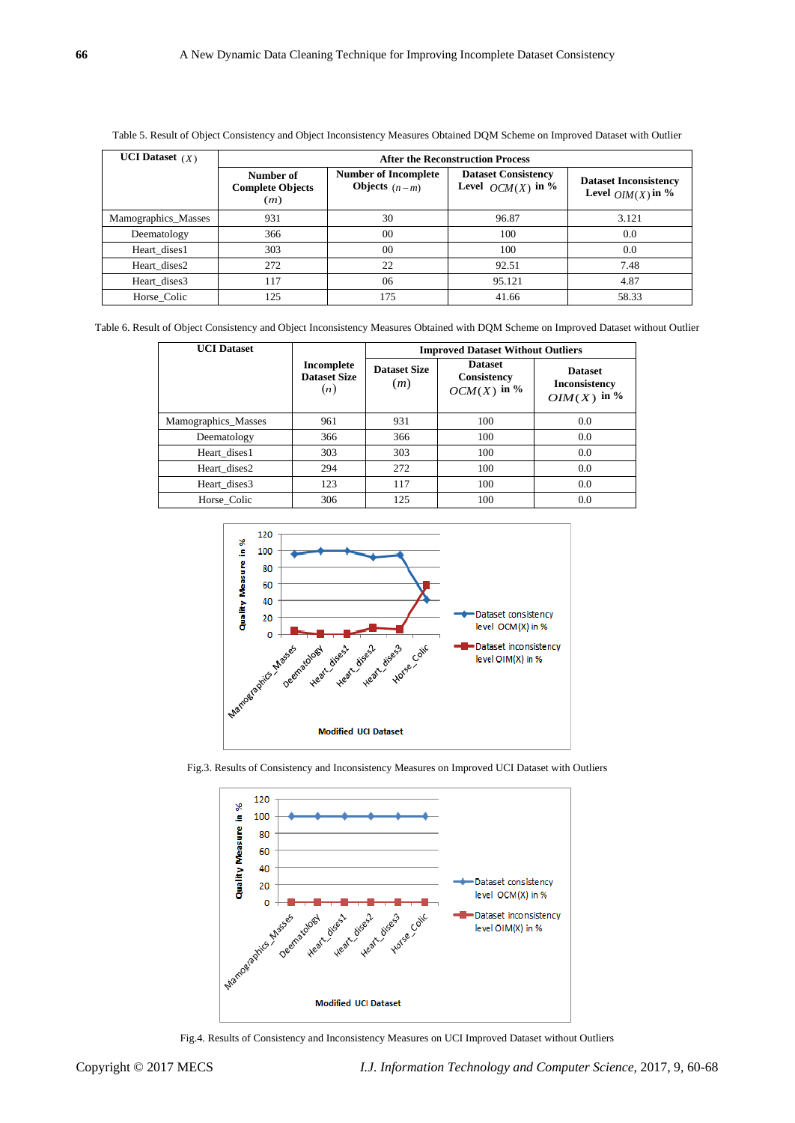| <b>UCI</b> Dataset $(X)$ | <b>After the Reconstruction Process</b>     |                                                       |                                                   |                                                    |
|--------------------------|---------------------------------------------|-------------------------------------------------------|---------------------------------------------------|----------------------------------------------------|
|                          | Number of<br><b>Complete Objects</b><br>(m) | <b>Number of Incomplete</b><br><b>Objects</b> $(n-m)$ | <b>Dataset Consistency</b><br>Level $OCM(X)$ in % | <b>Dataset Inconsistency</b><br>Level $OM(X)$ in % |
| Mamographics_Masses      | 931                                         | 30                                                    | 96.87                                             | 3.121                                              |
| Deematology              | 366                                         | 00                                                    | 100                                               | 0.0                                                |
| Heart dises1             | 303                                         | 0 <sup>0</sup>                                        | 100                                               | 0.0                                                |
| Heart dises2             | 272                                         | 22                                                    | 92.51                                             | 7.48                                               |
| Heart dises3             | 117                                         | 06                                                    | 95.121                                            | 4.87                                               |
| Horse Colic              | 125                                         | 175                                                   | 41.66                                             | 58.33                                              |

Table 5. Result of Object Consistency and Object Inconsistency Measures Obtained DQM Scheme on Improved Dataset with Outlier

Table 6. Result of Object Consistency and Object Inconsistency Measures Obtained with DQM Scheme on Improved Dataset without Outlier

| <b>UCI Dataset</b>  |                                          | <b>Improved Dataset Without Outliers</b> |                                                |                                                          |
|---------------------|------------------------------------------|------------------------------------------|------------------------------------------------|----------------------------------------------------------|
|                     | Incomplete<br><b>Dataset Size</b><br>(n) | <b>Dataset Size</b><br>(m)               | <b>Dataset</b><br>Consistency<br>$OCM(X)$ in % | <b>Dataset</b><br><b>Inconsistency</b><br>OIM $(X)$ in % |
| Mamographics_Masses | 961                                      | 931                                      | 100                                            | 0.0                                                      |
| Deematology         | 366                                      | 366                                      | 100                                            | 0.0                                                      |
| Heart dises1        | 303                                      | 303                                      | 100                                            | 0.0                                                      |
| Heart dises2        | 294                                      | 272                                      | 100                                            | 0.0                                                      |
| Heart dises3        | 123                                      | 117                                      | 100                                            | 0.0                                                      |
| Horse Colic         | 306                                      | 125                                      | 100                                            | 0.0                                                      |



Fig.3. Results of Consistency and Inconsistency Measures on Improved UCI Dataset with Outliers



Fig.4. Results of Consistency and Inconsistency Measures on UCI Improved Dataset without Outliers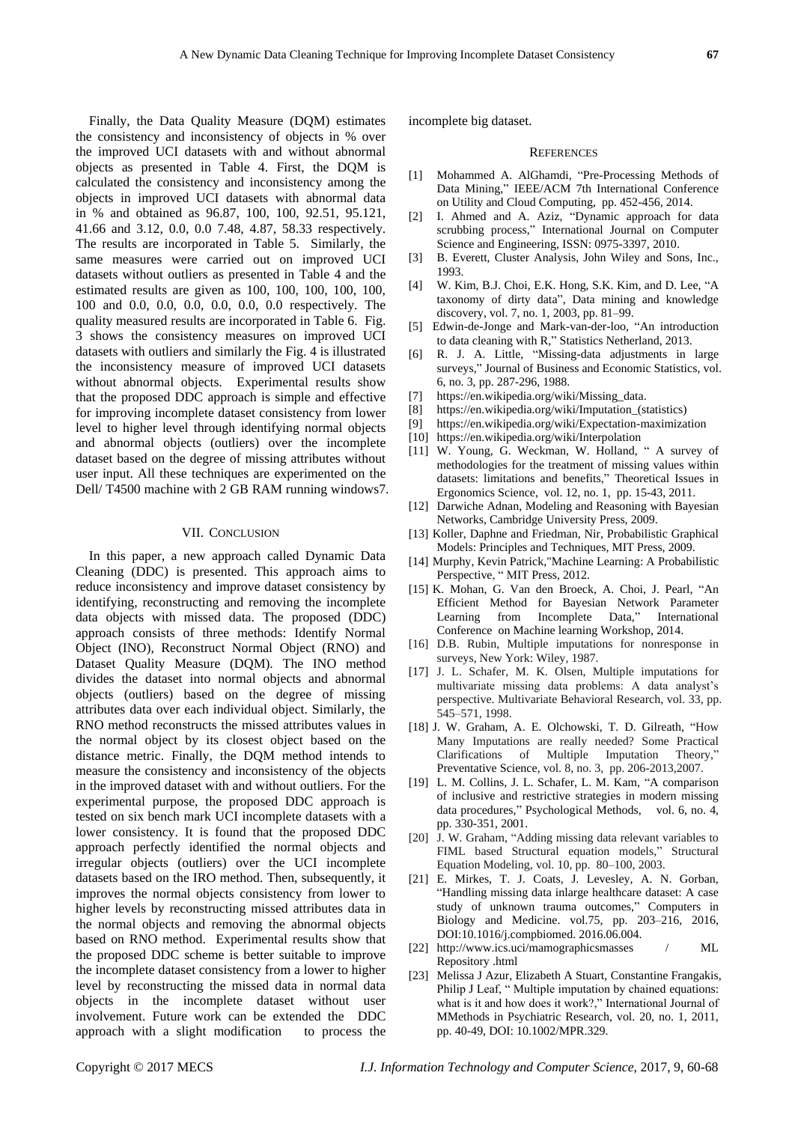Finally, the Data Quality Measure (DQM) estimates the consistency and inconsistency of objects in % over the improved UCI datasets with and without abnormal objects as presented in Table 4. First, the DQM is calculated the consistency and inconsistency among the objects in improved UCI datasets with abnormal data in % and obtained as 96.87, 100, 100, 92.51, 95.121, 41.66 and 3.12, 0.0, 0.0 7.48, 4.87, 58.33 respectively. The results are incorporated in Table 5. Similarly, the same measures were carried out on improved UCI datasets without outliers as presented in Table 4 and the estimated results are given as 100, 100, 100, 100, 100, 100 and 0.0, 0.0, 0.0, 0.0, 0.0, 0.0 respectively. The quality measured results are incorporated in Table 6. Fig. 3 shows the consistency measures on improved UCI datasets with outliers and similarly the Fig. 4 is illustrated the inconsistency measure of improved UCI datasets without abnormal objects. Experimental results show that the proposed DDC approach is simple and effective for improving incomplete dataset consistency from lower level to higher level through identifying normal objects and abnormal objects (outliers) over the incomplete dataset based on the degree of missing attributes without user input. All these techniques are experimented on the Dell/ T4500 machine with 2 GB RAM running windows7.

### VII. CONCLUSION

In this paper, a new approach called Dynamic Data Cleaning (DDC) is presented. This approach aims to reduce inconsistency and improve dataset consistency by identifying, reconstructing and removing the incomplete data objects with missed data. The proposed (DDC) approach consists of three methods: Identify Normal Object (INO), Reconstruct Normal Object (RNO) and Dataset Quality Measure (DQM). The INO method divides the dataset into normal objects and abnormal objects (outliers) based on the degree of missing attributes data over each individual object. Similarly, the RNO method reconstructs the missed attributes values in the normal object by its closest object based on the distance metric. Finally, the DQM method intends to measure the consistency and inconsistency of the objects in the improved dataset with and without outliers. For the experimental purpose, the proposed DDC approach is tested on six bench mark UCI incomplete datasets with a lower consistency. It is found that the proposed DDC approach perfectly identified the normal objects and irregular objects (outliers) over the UCI incomplete datasets based on the IRO method. Then, subsequently, it improves the normal objects consistency from lower to higher levels by reconstructing missed attributes data in the normal objects and removing the abnormal objects based on RNO method. Experimental results show that the proposed DDC scheme is better suitable to improve the incomplete dataset consistency from a lower to higher level by reconstructing the missed data in normal data objects in the incomplete dataset without user involvement. Future work can be extended the DDC approach with a slight modification to process the

incomplete big dataset.

#### **REFERENCES**

- [1] Mohammed A. AlGhamdi, "Pre-Processing Methods of Data Mining," IEEE/ACM 7th International Conference on Utility and Cloud Computing, pp. 452-456, 2014.
- [2] I. Ahmed and A. Aziz, "Dynamic approach for data scrubbing process," International Journal on Computer Science and Engineering, ISSN: 0975-3397, 2010.
- [3] B. Everett, Cluster Analysis, John Wiley and Sons, Inc., 1993.
- [4] W. Kim, B.J. Choi, E.K. Hong, S.K. Kim, and D. Lee, "A taxonomy of dirty data", Data mining and knowledge discovery, vol. 7, no. 1, 2003, pp. 81–99.
- [5] Edwin-de-Jonge and Mark-van-der-loo, "An introduction to data cleaning with R," Statistics Netherland, 2013.
- [6] R. J. A. Little, "Missing-data adjustments in large surveys," Journal of Business and Economic Statistics, vol. 6, no. 3, pp. 287-296, 1988.
- [7] [https://en.wikipedia.org/wiki/Missing\\_data.](https://en.wikipedia.org/wiki/Missing_data)
- [8] [https://en.wikipedia.org/wiki/Imputation\\_\(statistics\)](https://en.wikipedia.org/wiki/Imputation_(statistics))
- [9] <https://en.wikipedia.org/wiki/Expectation-maximization>
- [10] <https://en.wikipedia.org/wiki/Interpolation>
- [11] W. Young, G. Weckman, W. Holland, "A survey of methodologies for the treatment of missing values within datasets: limitations and benefits," Theoretical Issues in Ergonomics Science, vol. 12, no. 1, pp. 15-43, 2011.
- [12] Darwiche Adnan, Modeling and Reasoning with Bayesian Networks, Cambridge University Press, 2009.
- [13] Koller, Daphne and Friedman, Nir, Probabilistic Graphical Models: Principles and Techniques, MIT Press, 2009.
- [14] Murphy, Kevin Patrick,"Machine Learning: A Probabilistic Perspective, "MIT Press, 2012.
- [15] K. Mohan, G. Van den Broeck, A. Choi, J. Pearl, "An Efficient Method for Bayesian Network Parameter Learning from Incomplete Data," International Conference on Machine learning Workshop, 2014.
- [16] D.B. Rubin, Multiple imputations for nonresponse in surveys, New York: Wiley, 1987.
- [17] J. L. Schafer, M. K. Olsen, Multiple imputations for multivariate missing data problems: A data analyst's perspective. Multivariate Behavioral Research, vol. 33, pp. 545–571, 1998.
- [18] J. W. Graham, A. E. Olchowski, T. D. Gilreath, "How Many Imputations are really needed? Some Practical Clarifications of Multiple Imputation Theory," Preventative Science, vol. 8, no. 3, pp. 206-2013,2007.
- [19] L. M. Collins, J. L. Schafer, L. M. Kam, "A comparison of inclusive and restrictive strategies in modern missing data procedures," Psychological Methods, vol. 6, no. 4, pp. 330-351, 2001.
- [20] J. W. Graham, "Adding missing data relevant variables to FIML based Structural equation models," Structural Equation Modeling, vol. 10, pp. 80–100, 2003.
- [21] E. Mirkes, T. J. Coats, J. Levesley, A. N. Gorban, ―Handling missing data inlarge healthcare dataset: A case study of unknown trauma outcomes," Computers in Biology and Medicine. vol.75, pp. 203–216, 2016, DOI:10.1016/j.compbiomed. 2016.06.004.
- [22] [http://www.ics.uci/mamographicsmasses / ML](http://www.ics.uci/mamographicsmasses%20/%20ML%20Repository%20.html)  [Repository .html](http://www.ics.uci/mamographicsmasses%20/%20ML%20Repository%20.html)
- [23] Melissa J Azur, Elizabeth A Stuart, Constantine Frangakis, Philip J Leaf, " Multiple imputation by chained equations: what is it and how does it work?," International Journal of MMethods in Psychiatric Research, vol. 20, no. 1, 2011, pp. 40-49, DOI: 10.1002/MPR.329.